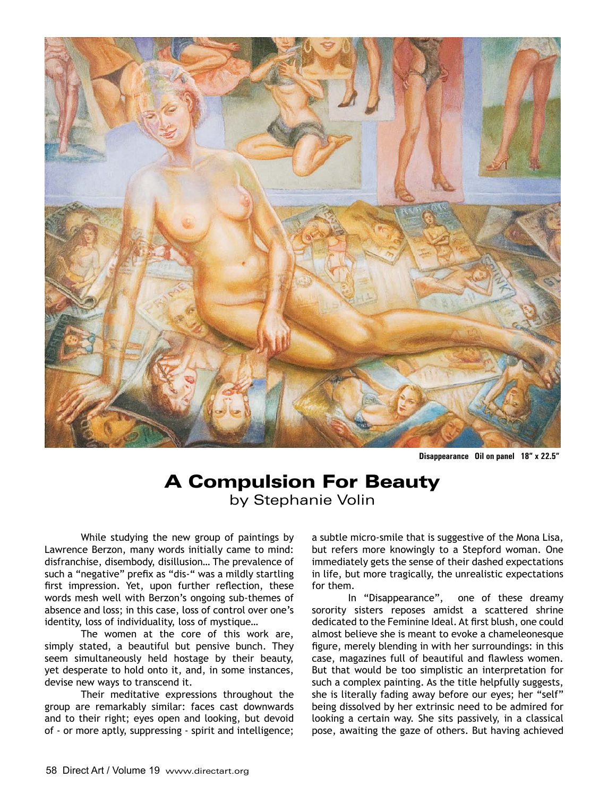

**Disappearance Oil on panel 18" x 22.5"**

## A Compulsion For Beauty by Stephanie Volin

While studying the new group of paintings by Lawrence Berzon, many words initially came to mind: disfranchise, disembody, disillusion… The prevalence of such a "negative" prefix as "dis-" was a mildly startling first impression. Yet, upon further reflection, these words mesh well with Berzon's ongoing sub-themes of absence and loss; in this case, loss of control over one's identity, loss of individuality, loss of mystique…

The women at the core of this work are, simply stated, a beautiful but pensive bunch. They seem simultaneously held hostage by their beauty, yet desperate to hold onto it, and, in some instances, devise new ways to transcend it.

Their meditative expressions throughout the group are remarkably similar: faces cast downwards and to their right; eyes open and looking, but devoid of - or more aptly, suppressing - spirit and intelligence; a subtle micro-smile that is suggestive of the Mona Lisa, but refers more knowingly to a Stepford woman. One immediately gets the sense of their dashed expectations in life, but more tragically, the unrealistic expectations for them.

In "Disappearance", one of these dreamy sorority sisters reposes amidst a scattered shrine dedicated to the Feminine Ideal. At first blush, one could almost believe she is meant to evoke a chameleonesque figure, merely blending in with her surroundings: in this case, magazines full of beautiful and flawless women. But that would be too simplistic an interpretation for such a complex painting. As the title helpfully suggests, she is literally fading away before our eyes; her "self" being dissolved by her extrinsic need to be admired for looking a certain way. She sits passively, in a classical pose, awaiting the gaze of others. But having achieved